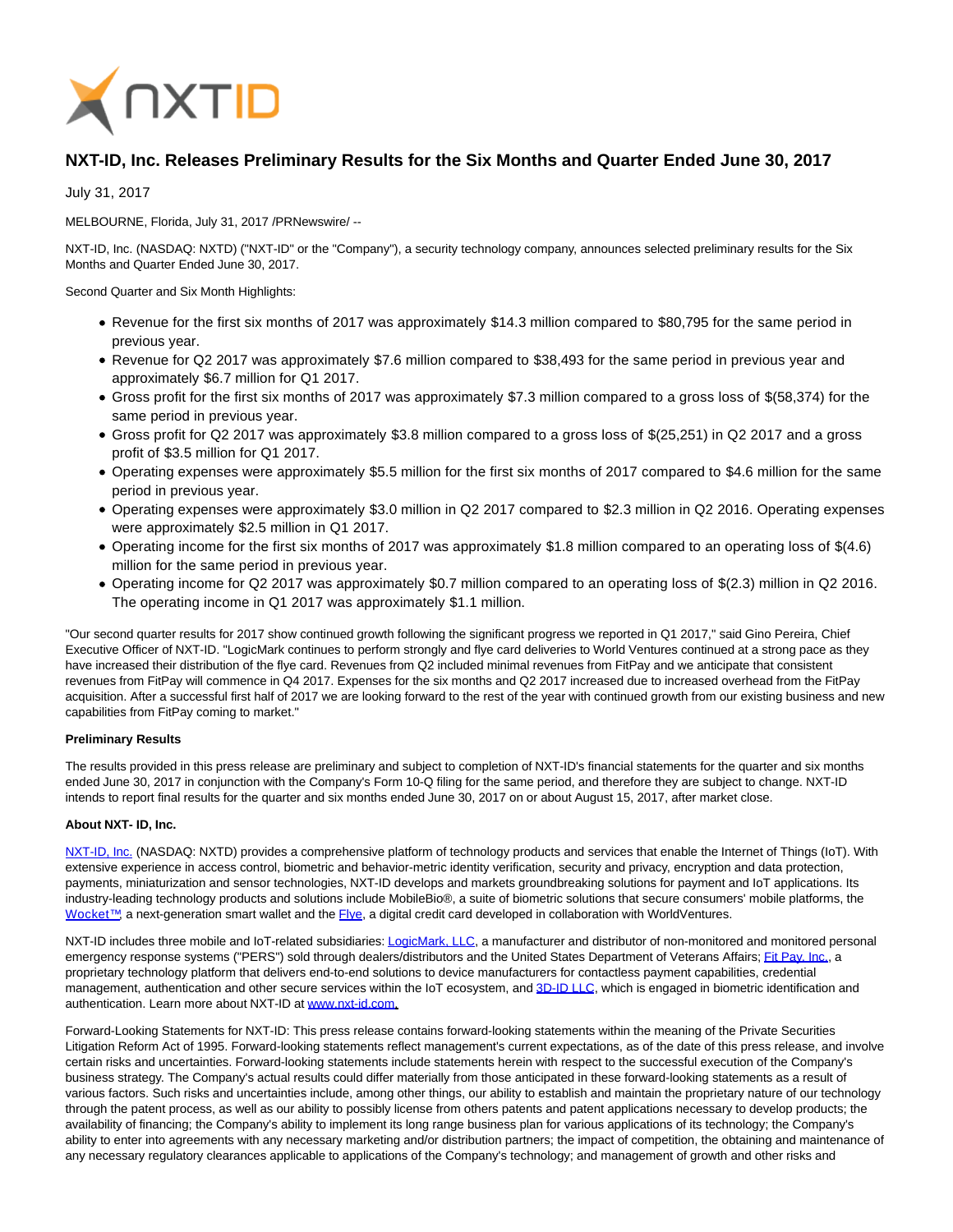

## **NXT-ID, Inc. Releases Preliminary Results for the Six Months and Quarter Ended June 30, 2017**

July 31, 2017

MELBOURNE, Florida, July 31, 2017 /PRNewswire/ --

NXT-ID, Inc. (NASDAQ: NXTD) ("NXT-ID" or the "Company"), a security technology company, announces selected preliminary results for the Six Months and Quarter Ended June 30, 2017.

Second Quarter and Six Month Highlights:

- Revenue for the first six months of 2017 was approximately \$14.3 million compared to \$80,795 for the same period in previous year.
- Revenue for Q2 2017 was approximately \$7.6 million compared to \$38,493 for the same period in previous year and approximately \$6.7 million for Q1 2017.
- Gross profit for the first six months of 2017 was approximately \$7.3 million compared to a gross loss of \$(58,374) for the same period in previous year.
- Gross profit for Q2 2017 was approximately \$3.8 million compared to a gross loss of \$(25,251) in Q2 2017 and a gross profit of \$3.5 million for Q1 2017.
- Operating expenses were approximately \$5.5 million for the first six months of 2017 compared to \$4.6 million for the same period in previous year.
- Operating expenses were approximately \$3.0 million in Q2 2017 compared to \$2.3 million in Q2 2016. Operating expenses were approximately \$2.5 million in Q1 2017.
- Operating income for the first six months of 2017 was approximately \$1.8 million compared to an operating loss of \$(4.6) million for the same period in previous year.
- Operating income for Q2 2017 was approximately \$0.7 million compared to an operating loss of \$(2.3) million in Q2 2016. The operating income in Q1 2017 was approximately \$1.1 million.

"Our second quarter results for 2017 show continued growth following the significant progress we reported in Q1 2017," said Gino Pereira, Chief Executive Officer of NXT-ID. "LogicMark continues to perform strongly and flye card deliveries to World Ventures continued at a strong pace as they have increased their distribution of the flye card. Revenues from Q2 included minimal revenues from FitPay and we anticipate that consistent revenues from FitPay will commence in Q4 2017. Expenses for the six months and Q2 2017 increased due to increased overhead from the FitPay acquisition. After a successful first half of 2017 we are looking forward to the rest of the year with continued growth from our existing business and new capabilities from FitPay coming to market."

## **Preliminary Results**

The results provided in this press release are preliminary and subject to completion of NXT-ID's financial statements for the quarter and six months ended June 30, 2017 in conjunction with the Company's Form 10-Q filing for the same period, and therefore they are subject to change. NXT-ID intends to report final results for the quarter and six months ended June 30, 2017 on or about August 15, 2017, after market close.

## **About NXT- ID, Inc.**

[NXT-ID, Inc. \(](http://www.nxt-id.com/)NASDAQ: NXTD) provides a comprehensive platform of technology products and services that enable the Internet of Things (IoT). With extensive experience in access control, biometric and behavior-metric identity verification, security and privacy, encryption and data protection, payments, miniaturization and sensor technologies, NXT-ID develops and markets groundbreaking solutions for payment and IoT applications. Its industry-leading technology products and solutions include MobileBio®, a suite of biometric solutions that secure consumers' mobile platforms, the [Wocket™,](https://wocketwallet.com/) a next-generation smart wallet and the [Flye,](https://www.flye.com/) a digital credit card developed in collaboration with WorldVentures.

NXT-ID includes three mobile and IoT-related subsidiaries[: LogicMark, LLC,](https://www.logicmark.com/) a manufacturer and distributor of non-monitored and monitored personal emergency response systems ("PERS") sold through dealers/distributors and the United States Department of Veterans Affairs[; Fit Pay, Inc.,](http://www.fit-pay.com/) a proprietary technology platform that delivers end-to-end solutions to device manufacturers for contactless payment capabilities, credential management, authentication and other secure services within the IoT ecosystem, and [3D-ID LLC,](http://nxt-id.com/products/3did/) which is engaged in biometric identification and authentication. Learn more about NXT-ID at [www.nxt-id.com.](http://www.nxt-id.com/)

Forward-Looking Statements for NXT-ID: This press release contains forward-looking statements within the meaning of the Private Securities Litigation Reform Act of 1995. Forward-looking statements reflect management's current expectations, as of the date of this press release, and involve certain risks and uncertainties. Forward-looking statements include statements herein with respect to the successful execution of the Company's business strategy. The Company's actual results could differ materially from those anticipated in these forward-looking statements as a result of various factors. Such risks and uncertainties include, among other things, our ability to establish and maintain the proprietary nature of our technology through the patent process, as well as our ability to possibly license from others patents and patent applications necessary to develop products; the availability of financing; the Company's ability to implement its long range business plan for various applications of its technology; the Company's ability to enter into agreements with any necessary marketing and/or distribution partners; the impact of competition, the obtaining and maintenance of any necessary regulatory clearances applicable to applications of the Company's technology; and management of growth and other risks and